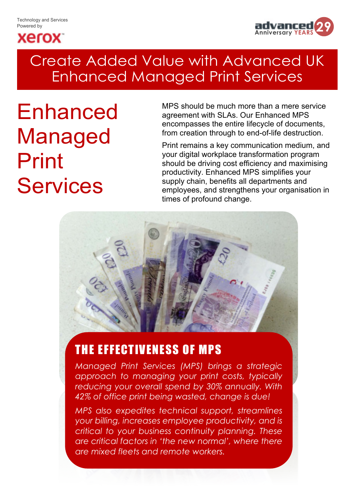



# Create Added Value with Advanced UK Enhanced Managed Print Services

Enhanced Managed Print **Services** 

MPS should be much more than a mere service agreement with SLAs. Our Enhanced MPS encompasses the entire lifecycle of documents, from creation through to end-of-life destruction.

Print remains a key communication medium, and your digital workplace transformation program should be driving cost efficiency and maximising productivity. Enhanced MPS simplifies your supply chain, benefits all departments and employees, and strengthens your organisation in times of profound change.



### THE EFFECTIVENESS OF MPS

*Managed Print Services (MPS) brings a strategic approach to managing your print costs, typically reducing your overall spend by 30% annually. With 42% of office print being wasted, change is due!*

*MPS also expedites technical support, streamlines your billing, increases employee productivity, and is critical to your business continuity planning. These are critical factors in 'the new normal', where there are mixed fleets and remote workers.*